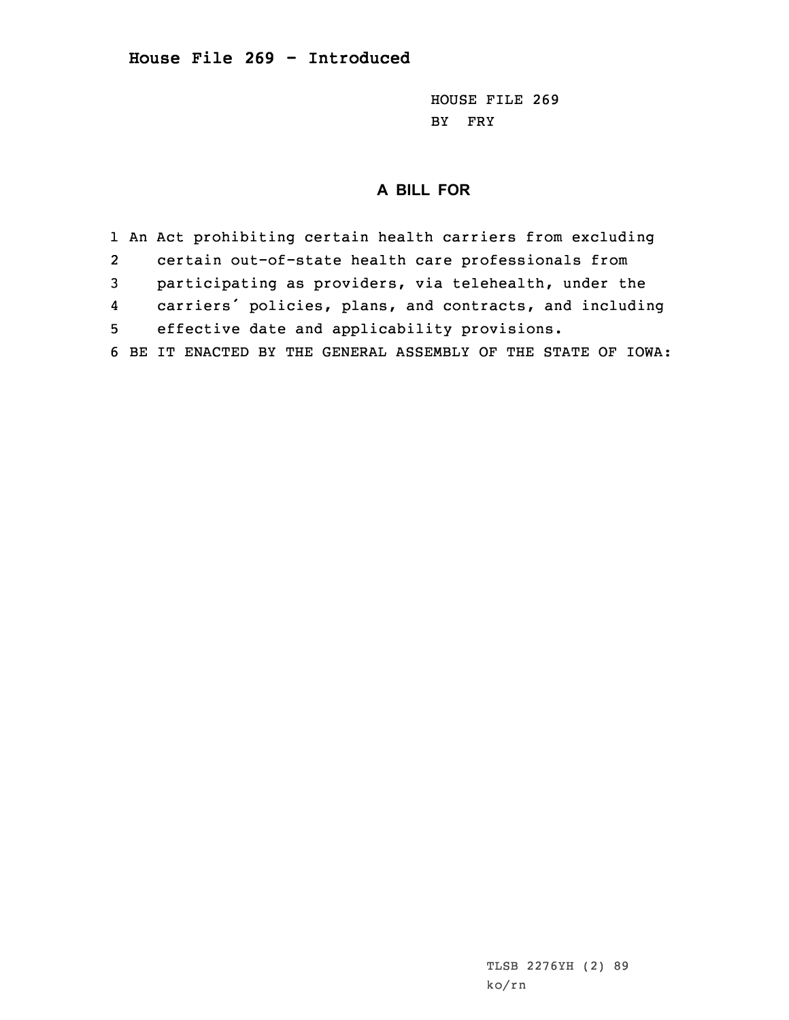## **House File 269 - Introduced**

HOUSE FILE 269 BY FRY

## **A BILL FOR**

1 An Act prohibiting certain health carriers from excluding 2 certain out-of-state health care professionals from 3 participating as providers, via telehealth, under the 4 carriers' policies, plans, and contracts, and including 5 effective date and applicability provisions. 6 BE IT ENACTED BY THE GENERAL ASSEMBLY OF THE STATE OF IOWA: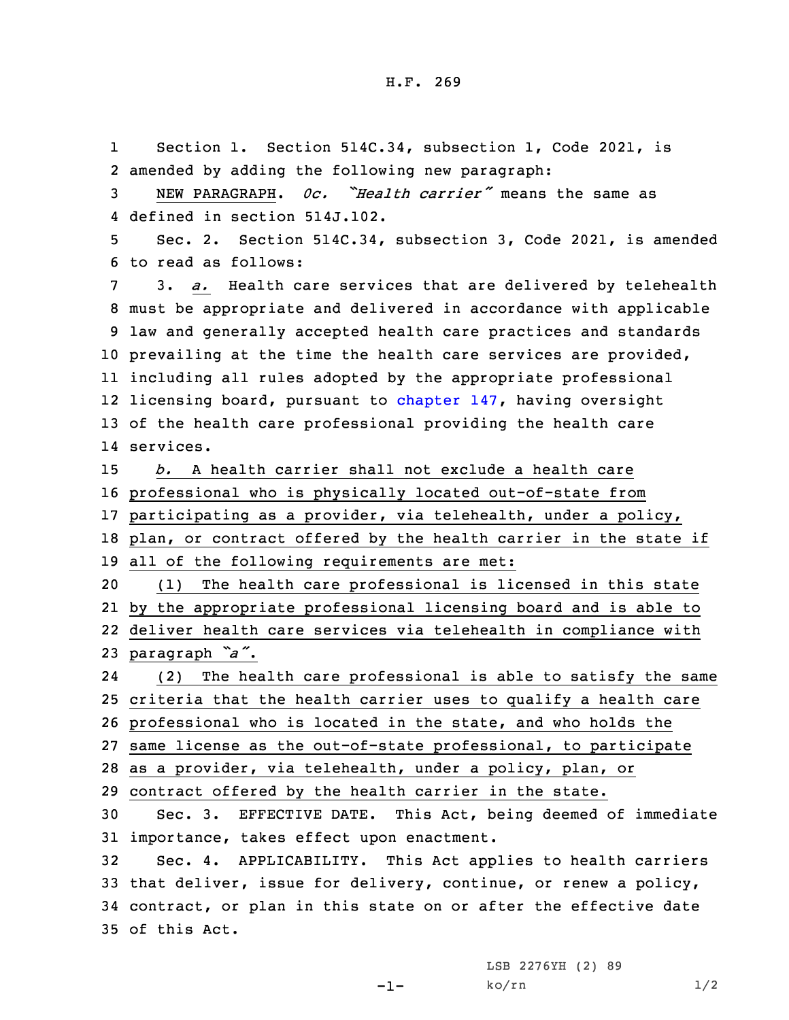1 Section 1. Section 514C.34, subsection 1, Code 2021, is amended by adding the following new paragraph: NEW PARAGRAPH. *0c. "Health carrier"* means the same as defined in section 514J.102. Sec. 2. Section 514C.34, subsection 3, Code 2021, is amended to read as follows: 3. *a.* Health care services that are delivered by telehealth must be appropriate and delivered in accordance with applicable law and generally accepted health care practices and standards prevailing at the time the health care services are provided, including all rules adopted by the appropriate professional 12 licensing board, pursuant to [chapter](https://www.legis.iowa.gov/docs/code/2021/147.pdf) 147, having oversight of the health care professional providing the health care services. *b.* A health carrier shall not exclude <sup>a</sup> health care professional who is physically located out-of-state from participating as <sup>a</sup> provider, via telehealth, under <sup>a</sup> policy, plan, or contract offered by the health carrier in the state if all of the following requirements are met: (1) The health care professional is licensed in this state by the appropriate professional licensing board and is able to deliver health care services via telehealth in compliance with paragraph *"a"*. 24 (2) The health care professional is able to satisfy the same criteria that the health carrier uses to qualify <sup>a</sup> health care professional who is located in the state, and who holds the same license as the out-of-state professional, to participate as <sup>a</sup> provider, via telehealth, under <sup>a</sup> policy, plan, or contract offered by the health carrier in the state. Sec. 3. EFFECTIVE DATE. This Act, being deemed of immediate importance, takes effect upon enactment. Sec. 4. APPLICABILITY. This Act applies to health carriers that deliver, issue for delivery, continue, or renew <sup>a</sup> policy, contract, or plan in this state on or after the effective date of this Act.

-1-

LSB 2276YH (2) 89  $ko/rn$  1/2